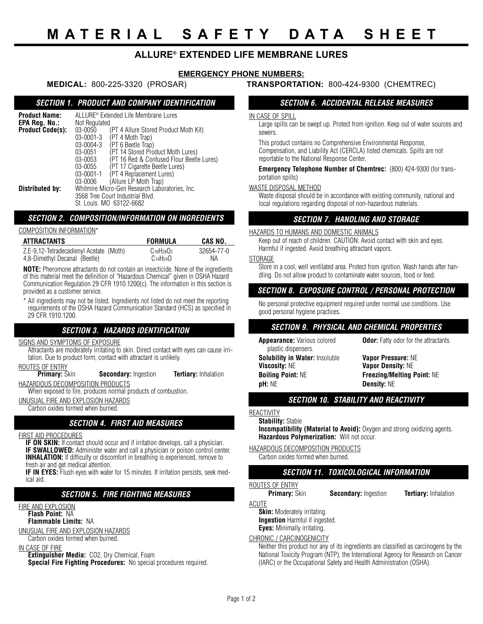# **ALLURE® EXTENDED LIFE MEMBRANE LURES**

## **EMERGENCY PHONE NUMBERS:**

#### *SECTION 1. PRODUCT AND COMPANY IDENTIFICATION*

| <b>Product Name:</b>                     | ALLURE <sup>®</sup> Extended Life Membrane Lures |                                           |  |  |
|------------------------------------------|--------------------------------------------------|-------------------------------------------|--|--|
| EPA Reg. No.:<br><b>Product Code(s):</b> | Not Regulated<br>03-0050                         | (PT 4 Allure Stored Product Moth Kit)     |  |  |
|                                          | $03 - 0001 - 3$                                  | (PT 4 Moth Trap)                          |  |  |
|                                          | 03-0004-3                                        | (PT 6 Beetle Trap)                        |  |  |
|                                          | 03-0051                                          | (PT 14 Stored Product Moth Lures)         |  |  |
|                                          | 03-0053                                          | (PT 16 Red & Confused Flour Beetle Lures) |  |  |
|                                          | 03-0055                                          | (PT 17 Cigarette Beetle Lures)            |  |  |
|                                          | $03 - 0001 - 1$                                  | (PT 4 Replacement Lures)                  |  |  |
|                                          | 03-0006                                          | (Allure LP Moth Trap)                     |  |  |
| Distributed by:                          | Whitmire Micro-Gen Research Laboratories, Inc.   |                                           |  |  |
|                                          | 3568 Tree Court Industrial Blvd.                 |                                           |  |  |
|                                          | St. Louis MO 63122-6682                          |                                           |  |  |

# *SECTION 2. COMPOSITION/INFORMATION ON INGREDIENTS*

#### COMPOSITION INFORMATION\*

| ATTRACTANTS                             | FORMULA                           | CAS NO.    |
|-----------------------------------------|-----------------------------------|------------|
| Z.E-9.12-Tetradecadienyl Acetate (Moth) | $C16H28O2$                        | 32654-77-0 |
| 4,8-Dimethyl Decanal (Beetle)           | C <sub>14</sub> H <sub>24</sub> O | ΝA         |

**NOTE:** Pheromone attractants do not contain an insecticide. None of the ingredients of this material meet the definition of "Hazardous Chemical" given in OSHA Hazard Communication Regulation 29 CFR 1910.1200(c). The information in this section is provided as a customer service.

\* All ingredients may not be listed. Ingredients not listed do not meet the reporting requirements of the OSHA Hazard Communication Standard (HCS) as specified in 29 CFR 1910.1200.

### *SECTION 3. HAZARDS IDENTIFICATION*

#### SIGNS AND SYMPTOMS OF EXPOSURE

Attractants are moderately irritating to skin. Direct contact with eyes can cause irritation. Due to product form, contact with attractant is unlikely.

# **ROUTES OF ENTRY**<br>**Primary:** Skin

**Secondary:** Ingestion **Tertiary:** Inhalation HAZARDOUS DECOMPOSITION PRODUCTS

When exposed to fire, produces normal products of combustion.

UNUSUAL FIRE AND EXPLOSION HAZARDS

Carbon oxides formed when burned.

### *SECTION 4. FIRST AID MEASURES*

#### FIRST AID PROCEDURES

**IF ON SKIN:** If contact should occur and if irritation develops, call a physician. **IF SWALLOWED:** Administer water and call a physician or poison control center. **INHALATION:** If difficulty or discomfort in breathing is experienced, remove to fresh air and get medical attention.

**IF IN EYES:** Flush eyes with water for 15 minutes. If irritation persists, seek medical aid.

#### *SECTION 5. FIRE FIGHTING MEASURES*

#### FIRE AND EXPLOSION **Flash Point:** NA

#### **Flammable Limits:** NA

UNUSUAL FIRE AND EXPLOSION HAZARDS

Carbon oxides formed when burned.

#### IN CASE OF FIRE

**Extinguisher Media:** CO2, Dry Chemical, Foam

**Special Fire Fighting Procedures:** No special procedures required.

#### **MEDICAL:** 800-225-3320 (PROSAR) **TRANSPORTATION:** 800-424-9300 (CHEMTREC)

#### *SECTION 6. ACCIDENTAL RELEASE MEASURES*

#### IN CASE OF SPILL

Large spills can be swept up. Protect from ignition. Keep out of water sources and sewers.

This product contains no Comprehensive Environmental Response, Compensation, and Liability Act (CERCLA) listed chemicals. Spills are not reportable to the National Response Center.

#### **Emergency Telephone Number of Chemtrec:** (800) 424-9300 (for transportation spills)

#### WASTE DISPOSAL METHOD

Waste disposal should be in accordance with existing community, national and local regulations regarding disposal of non-hazardous materials.

## *SECTION 7. HANDLING AND STORAGE*

#### HAZARDS TO HUMANS AND DOMESTIC ANIMALS

Keep out of reach of children. CAUTION: Avoid contact with skin and eyes. Harmful if ingested. Avoid breathing attractant vapors.

#### STORAGE

Store in a cool, well ventilated area. Protect from ignition. Wash hands after handling. Do not allow product to contaminate water sources, food or feed.

# *SECTION 8. EXPOSURE CONTROL / PERSONAL PROTECTION*

No personal protective equipment required under normal use conditions. Use good personal hygiene practices.

#### *SECTION 9. PHYSICAL AND CHEMICAL PROPERTIES*

| <b>Appearance:</b> Various colored<br>plastic dispensers. | <b>Odor:</b> Fatty odor for the attractants.                  |  |  |
|-----------------------------------------------------------|---------------------------------------------------------------|--|--|
| <b>Solubility in Water: Insoluble</b>                     | <b>Vapor Pressure: NE</b>                                     |  |  |
| <b>Viscosity: NE</b><br><b>Boiling Point: NE</b>          | <b>Vapor Density: NE</b><br><b>Freezing/Melting Point: NE</b> |  |  |
| pH: NE                                                    | <b>Density: NE</b>                                            |  |  |

### *SECTION 10. STABILITY AND REACTIVITY*

#### REACTIVITY

#### **Stability:** Stable

**Incompatibility (Material to Avoid):** Oxygen and strong oxidizing agents. **Hazardous Polymerization:** Will not occur.

HAZARDOUS DECOMPOSITION PRODUCTS

Carbon oxides formed when burned.

# *SECTION 11. TOXICOLOGICAL INFORMATION*

# **ROUTES OF ENTRY**<br>**Primary:** Skin

**Secondary:** Ingestion **Tertiary:** Inhalation

ACUTE

**Skin:** Moderately irritating. **Ingestion** Harmful if ingested.

**Eyes:** Minimally irritating.

# CHRONIC / CARCINOGENICITY

Neither this product nor any of its ingredients are classified as carcinogens by the National Toxicity Program (NTP), the International Agency for Research on Cancer (IARC) or the Occupational Safety and Health Administration (OSHA).